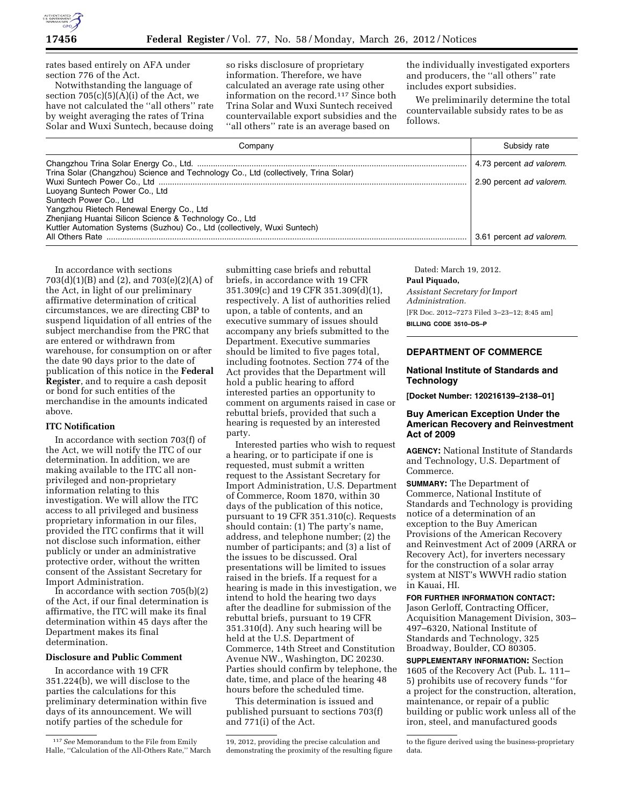rates based entirely on AFA under section 776 of the Act.

Notwithstanding the language of section  $705(c)(5)(A)(i)$  of the Act, we have not calculated the ''all others'' rate by weight averaging the rates of Trina Solar and Wuxi Suntech, because doing

so risks disclosure of proprietary information. Therefore, we have calculated an average rate using other information on the record.117 Since both Trina Solar and Wuxi Suntech received countervailable export subsidies and the ''all others'' rate is an average based on

the individually investigated exporters and producers, the ''all others'' rate includes export subsidies.

We preliminarily determine the total countervailable subsidy rates to be as follows.

| Company                                                                             | Subsidy rate             |
|-------------------------------------------------------------------------------------|--------------------------|
|                                                                                     | 4.73 percent ad valorem. |
| Trina Solar (Changzhou) Science and Technology Co., Ltd (collectively, Trina Solar) |                          |
|                                                                                     | 2.90 percent ad valorem. |
| Luoyang Suntech Power Co., Ltd                                                      |                          |
| Suntech Power Co., Ltd                                                              |                          |
| Yangzhou Rietech Renewal Energy Co., Ltd                                            |                          |
| Zhenjiang Huantai Silicon Science & Technology Co., Ltd                             |                          |
| Kuttler Automation Systems (Suzhou) Co., Ltd (collectively, Wuxi Suntech)           |                          |
| All Others Rate                                                                     | 3.61 percent ad valorem. |

In accordance with sections 703(d)(1)(B) and (2), and 703(e)(2)(A) of the Act, in light of our preliminary affirmative determination of critical circumstances, we are directing CBP to suspend liquidation of all entries of the subject merchandise from the PRC that are entered or withdrawn from warehouse, for consumption on or after the date 90 days prior to the date of publication of this notice in the **Federal Register**, and to require a cash deposit or bond for such entities of the merchandise in the amounts indicated above.

## **ITC Notification**

In accordance with section 703(f) of the Act, we will notify the ITC of our determination. In addition, we are making available to the ITC all nonprivileged and non-proprietary information relating to this investigation. We will allow the ITC access to all privileged and business proprietary information in our files, provided the ITC confirms that it will not disclose such information, either publicly or under an administrative protective order, without the written consent of the Assistant Secretary for Import Administration.

In accordance with section  $705(b)(2)$ of the Act, if our final determination is affirmative, the ITC will make its final determination within 45 days after the Department makes its final determination.

# **Disclosure and Public Comment**

In accordance with 19 CFR 351.224(b), we will disclose to the parties the calculations for this preliminary determination within five days of its announcement. We will notify parties of the schedule for

submitting case briefs and rebuttal briefs, in accordance with 19 CFR 351.309(c) and 19 CFR 351.309(d)(1), respectively. A list of authorities relied upon, a table of contents, and an executive summary of issues should accompany any briefs submitted to the Department. Executive summaries should be limited to five pages total, including footnotes. Section 774 of the Act provides that the Department will hold a public hearing to afford interested parties an opportunity to comment on arguments raised in case or rebuttal briefs, provided that such a hearing is requested by an interested party.

Interested parties who wish to request a hearing, or to participate if one is requested, must submit a written request to the Assistant Secretary for Import Administration, U.S. Department of Commerce, Room 1870, within 30 days of the publication of this notice, pursuant to 19 CFR 351.310(c). Requests should contain: (1) The party's name, address, and telephone number; (2) the number of participants; and (3) a list of the issues to be discussed. Oral presentations will be limited to issues raised in the briefs. If a request for a hearing is made in this investigation, we intend to hold the hearing two days after the deadline for submission of the rebuttal briefs, pursuant to 19 CFR 351.310(d). Any such hearing will be held at the U.S. Department of Commerce, 14th Street and Constitution Avenue NW., Washington, DC 20230. Parties should confirm by telephone, the date, time, and place of the hearing 48 hours before the scheduled time.

This determination is issued and published pursuant to sections 703(f) and 771(i) of the Act.

Dated: March 19, 2012.

**Paul Piquado,**  *Assistant Secretary for Import Administration.*  [FR Doc. 2012–7273 Filed 3–23–12; 8:45 am] **BILLING CODE 3510–DS–P** 

### **DEPARTMENT OF COMMERCE**

#### **National Institute of Standards and Technology**

**[Docket Number: 120216139–2138–01]** 

# **Buy American Exception Under the American Recovery and Reinvestment Act of 2009**

**AGENCY:** National Institute of Standards and Technology, U.S. Department of Commerce.

**SUMMARY:** The Department of Commerce, National Institute of Standards and Technology is providing notice of a determination of an exception to the Buy American Provisions of the American Recovery and Reinvestment Act of 2009 (ARRA or Recovery Act), for inverters necessary for the construction of a solar array system at NIST's WWVH radio station in Kauai, HI.

**FOR FURTHER INFORMATION CONTACT:**  Jason Gerloff, Contracting Officer, Acquisition Management Division, 303– 497–6320, National Institute of Standards and Technology, 325 Broadway, Boulder, CO 80305.

**SUPPLEMENTARY INFORMATION:** Section 1605 of the Recovery Act (Pub. L. 111– 5) prohibits use of recovery funds ''for a project for the construction, alteration, maintenance, or repair of a public building or public work unless all of the iron, steel, and manufactured goods

<sup>117</sup>*See* Memorandum to the File from Emily Halle, ''Calculation of the All-Others Rate,'' March

<sup>19, 2012,</sup> providing the precise calculation and demonstrating the proximity of the resulting figure

to the figure derived using the business-proprietary data.